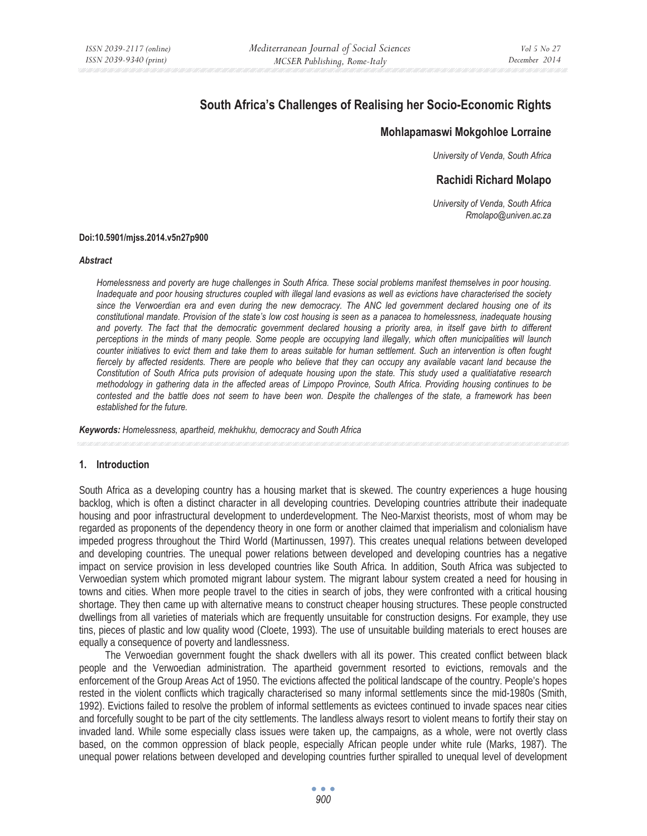# **South Africa's Challenges of Realising her Socio-Economic Rights**

## **Mohlapamaswi Mokgohloe Lorraine**

*University of Venda, South Africa* 

## **Rachidi Richard Molapo**

*University of Venda, South Africa Rmolapo@univen.ac.za* 

#### **Doi:10.5901/mjss.2014.v5n27p900**

#### *Abstract*

*Homelessness and poverty are huge challenges in South Africa. These social problems manifest themselves in poor housing. Inadequate and poor housing structures coupled with illegal land evasions as well as evictions have characterised the society since the Verwoerdian era and even during the new democracy. The ANC led government declared housing one of its constitutional mandate. Provision of the state's low cost housing is seen as a panacea to homelessness, inadequate housing*  and poverty. The fact that the democratic government declared housing a priority area, in itself gave birth to different *perceptions in the minds of many people. Some people are occupying land illegally, which often municipalities will launch counter initiatives to evict them and take them to areas suitable for human settlement. Such an intervention is often fought fiercely by affected residents. There are people who believe that they can occupy any available vacant land because the Constitution of South Africa puts provision of adequate housing upon the state. This study used a qualitiatative research methodology in gathering data in the affected areas of Limpopo Province, South Africa. Providing housing continues to be contested and the battle does not seem to have been won. Despite the challenges of the state, a framework has been established for the future.* 

*Keywords: Homelessness, apartheid, mekhukhu, democracy and South Africa*

#### **1. Introduction**

South Africa as a developing country has a housing market that is skewed. The country experiences a huge housing backlog, which is often a distinct character in all developing countries. Developing countries attribute their inadequate housing and poor infrastructural development to underdevelopment. The Neo-Marxist theorists, most of whom may be regarded as proponents of the dependency theory in one form or another claimed that imperialism and colonialism have impeded progress throughout the Third World (Martinussen, 1997). This creates unequal relations between developed and developing countries. The unequal power relations between developed and developing countries has a negative impact on service provision in less developed countries like South Africa. In addition, South Africa was subjected to Verwoedian system which promoted migrant labour system. The migrant labour system created a need for housing in towns and cities. When more people travel to the cities in search of jobs, they were confronted with a critical housing shortage. They then came up with alternative means to construct cheaper housing structures. These people constructed dwellings from all varieties of materials which are frequently unsuitable for construction designs. For example, they use tins, pieces of plastic and low quality wood (Cloete, 1993). The use of unsuitable building materials to erect houses are equally a consequence of poverty and landlessness.

The Verwoedian government fought the shack dwellers with all its power. This created conflict between black people and the Verwoedian administration. The apartheid government resorted to evictions, removals and the enforcement of the Group Areas Act of 1950. The evictions affected the political landscape of the country. People's hopes rested in the violent conflicts which tragically characterised so many informal settlements since the mid-1980s (Smith, 1992). Evictions failed to resolve the problem of informal settlements as evictees continued to invade spaces near cities and forcefully sought to be part of the city settlements. The landless always resort to violent means to fortify their stay on invaded land. While some especially class issues were taken up, the campaigns, as a whole, were not overtly class based, on the common oppression of black people, especially African people under white rule (Marks, 1987). The unequal power relations between developed and developing countries further spiralled to unequal level of development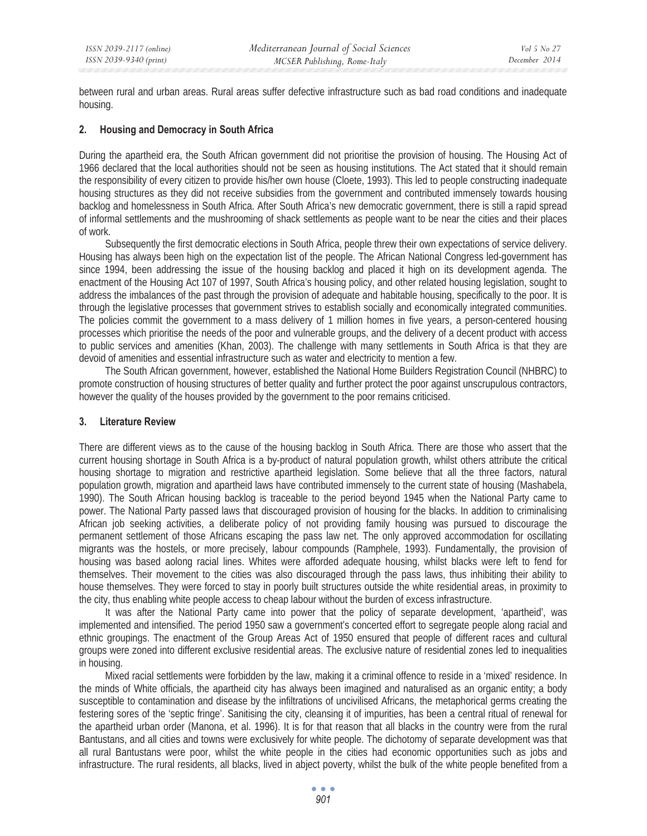between rural and urban areas. Rural areas suffer defective infrastructure such as bad road conditions and inadequate housing.

## **2. Housing and Democracy in South Africa**

During the apartheid era, the South African government did not prioritise the provision of housing. The Housing Act of 1966 declared that the local authorities should not be seen as housing institutions. The Act stated that it should remain the responsibility of every citizen to provide his/her own house (Cloete, 1993). This led to people constructing inadequate housing structures as they did not receive subsidies from the government and contributed immensely towards housing backlog and homelessness in South Africa. After South Africa's new democratic government, there is still a rapid spread of informal settlements and the mushrooming of shack settlements as people want to be near the cities and their places of work.

Subsequently the first democratic elections in South Africa, people threw their own expectations of service delivery. Housing has always been high on the expectation list of the people. The African National Congress led-government has since 1994, been addressing the issue of the housing backlog and placed it high on its development agenda. The enactment of the Housing Act 107 of 1997, South Africa's housing policy, and other related housing legislation, sought to address the imbalances of the past through the provision of adequate and habitable housing, specifically to the poor. It is through the legislative processes that government strives to establish socially and economically integrated communities. The policies commit the government to a mass delivery of 1 million homes in five years, a person-centered housing processes which prioritise the needs of the poor and vulnerable groups, and the delivery of a decent product with access to public services and amenities (Khan, 2003). The challenge with many settlements in South Africa is that they are devoid of amenities and essential infrastructure such as water and electricity to mention a few.

The South African government, however, established the National Home Builders Registration Council (NHBRC) to promote construction of housing structures of better quality and further protect the poor against unscrupulous contractors, however the quality of the houses provided by the government to the poor remains criticised.

#### **3. Literature Review**

There are different views as to the cause of the housing backlog in South Africa. There are those who assert that the current housing shortage in South Africa is a by-product of natural population growth, whilst others attribute the critical housing shortage to migration and restrictive apartheid legislation. Some believe that all the three factors, natural population growth, migration and apartheid laws have contributed immensely to the current state of housing (Mashabela, 1990). The South African housing backlog is traceable to the period beyond 1945 when the National Party came to power. The National Party passed laws that discouraged provision of housing for the blacks. In addition to criminalising African job seeking activities, a deliberate policy of not providing family housing was pursued to discourage the permanent settlement of those Africans escaping the pass law net. The only approved accommodation for oscillating migrants was the hostels, or more precisely, labour compounds (Ramphele, 1993). Fundamentally, the provision of housing was based aolong racial lines. Whites were afforded adequate housing, whilst blacks were left to fend for themselves. Their movement to the cities was also discouraged through the pass laws, thus inhibiting their ability to house themselves. They were forced to stay in poorly built structures outside the white residential areas, in proximity to the city, thus enabling white people access to cheap labour without the burden of excess infrastructure.

It was after the National Party came into power that the policy of separate development, 'apartheid', was implemented and intensified. The period 1950 saw a government's concerted effort to segregate people along racial and ethnic groupings. The enactment of the Group Areas Act of 1950 ensured that people of different races and cultural groups were zoned into different exclusive residential areas. The exclusive nature of residential zones led to inequalities in housing.

Mixed racial settlements were forbidden by the law, making it a criminal offence to reside in a 'mixed' residence. In the minds of White officials, the apartheid city has always been imagined and naturalised as an organic entity; a body susceptible to contamination and disease by the infiltrations of uncivilised Africans, the metaphorical germs creating the festering sores of the 'septic fringe'. Sanitising the city, cleansing it of impurities, has been a central ritual of renewal for the apartheid urban order (Manona, et al. 1996). It is for that reason that all blacks in the country were from the rural Bantustans, and all cities and towns were exclusively for white people. The dichotomy of separate development was that all rural Bantustans were poor, whilst the white people in the cities had economic opportunities such as jobs and infrastructure. The rural residents, all blacks, lived in abject poverty, whilst the bulk of the white people benefited from a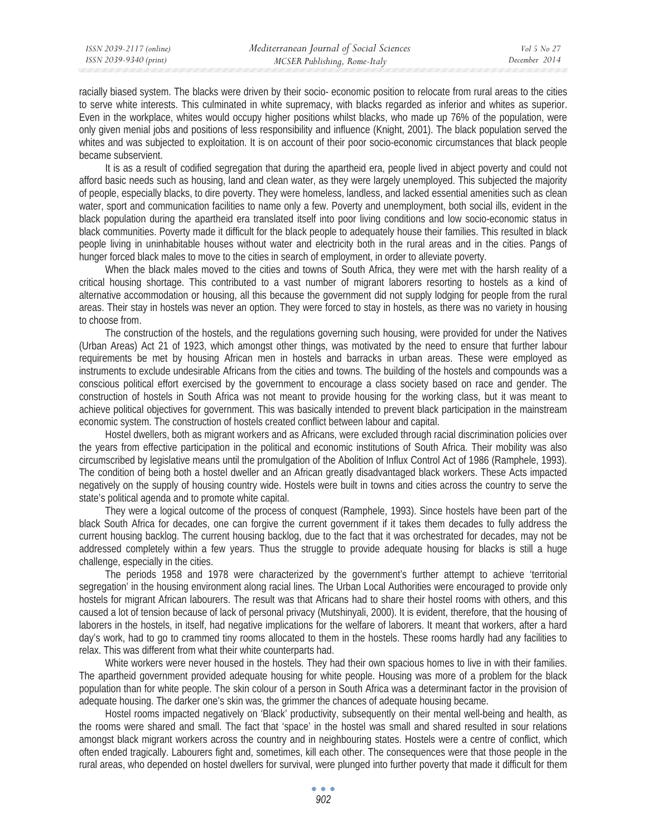racially biased system. The blacks were driven by their socio- economic position to relocate from rural areas to the cities to serve white interests. This culminated in white supremacy, with blacks regarded as inferior and whites as superior. Even in the workplace, whites would occupy higher positions whilst blacks, who made up 76% of the population, were only given menial jobs and positions of less responsibility and influence (Knight, 2001). The black population served the whites and was subjected to exploitation. It is on account of their poor socio-economic circumstances that black people became subservient.

It is as a result of codified segregation that during the apartheid era, people lived in abject poverty and could not afford basic needs such as housing, land and clean water, as they were largely unemployed. This subjected the majority of people, especially blacks, to dire poverty. They were homeless, landless, and lacked essential amenities such as clean water, sport and communication facilities to name only a few. Poverty and unemployment, both social ills, evident in the black population during the apartheid era translated itself into poor living conditions and low socio-economic status in black communities. Poverty made it difficult for the black people to adequately house their families. This resulted in black people living in uninhabitable houses without water and electricity both in the rural areas and in the cities. Pangs of hunger forced black males to move to the cities in search of employment, in order to alleviate poverty.

When the black males moved to the cities and towns of South Africa, they were met with the harsh reality of a critical housing shortage. This contributed to a vast number of migrant laborers resorting to hostels as a kind of alternative accommodation or housing, all this because the government did not supply lodging for people from the rural areas. Their stay in hostels was never an option. They were forced to stay in hostels, as there was no variety in housing to choose from.

The construction of the hostels, and the regulations governing such housing, were provided for under the Natives (Urban Areas) Act 21 of 1923, which amongst other things, was motivated by the need to ensure that further labour requirements be met by housing African men in hostels and barracks in urban areas. These were employed as instruments to exclude undesirable Africans from the cities and towns. The building of the hostels and compounds was a conscious political effort exercised by the government to encourage a class society based on race and gender. The construction of hostels in South Africa was not meant to provide housing for the working class, but it was meant to achieve political objectives for government. This was basically intended to prevent black participation in the mainstream economic system. The construction of hostels created conflict between labour and capital.

Hostel dwellers, both as migrant workers and as Africans, were excluded through racial discrimination policies over the years from effective participation in the political and economic institutions of South Africa. Their mobility was also circumscribed by legislative means until the promulgation of the Abolition of Influx Control Act of 1986 (Ramphele, 1993). The condition of being both a hostel dweller and an African greatly disadvantaged black workers. These Acts impacted negatively on the supply of housing country wide. Hostels were built in towns and cities across the country to serve the state's political agenda and to promote white capital.

They were a logical outcome of the process of conquest (Ramphele, 1993). Since hostels have been part of the black South Africa for decades, one can forgive the current government if it takes them decades to fully address the current housing backlog. The current housing backlog, due to the fact that it was orchestrated for decades, may not be addressed completely within a few years. Thus the struggle to provide adequate housing for blacks is still a huge challenge, especially in the cities.

The periods 1958 and 1978 were characterized by the government's further attempt to achieve 'territorial segregation' in the housing environment along racial lines. The Urban Local Authorities were encouraged to provide only hostels for migrant African labourers. The result was that Africans had to share their hostel rooms with others, and this caused a lot of tension because of lack of personal privacy (Mutshinyali, 2000). It is evident, therefore, that the housing of laborers in the hostels, in itself, had negative implications for the welfare of laborers. It meant that workers, after a hard day's work, had to go to crammed tiny rooms allocated to them in the hostels. These rooms hardly had any facilities to relax. This was different from what their white counterparts had.

White workers were never housed in the hostels. They had their own spacious homes to live in with their families. The apartheid government provided adequate housing for white people. Housing was more of a problem for the black population than for white people. The skin colour of a person in South Africa was a determinant factor in the provision of adequate housing. The darker one's skin was, the grimmer the chances of adequate housing became.

Hostel rooms impacted negatively on 'Black' productivity, subsequently on their mental well-being and health, as the rooms were shared and small. The fact that 'space' in the hostel was small and shared resulted in sour relations amongst black migrant workers across the country and in neighbouring states. Hostels were a centre of conflict, which often ended tragically. Labourers fight and, sometimes, kill each other. The consequences were that those people in the rural areas, who depended on hostel dwellers for survival, were plunged into further poverty that made it difficult for them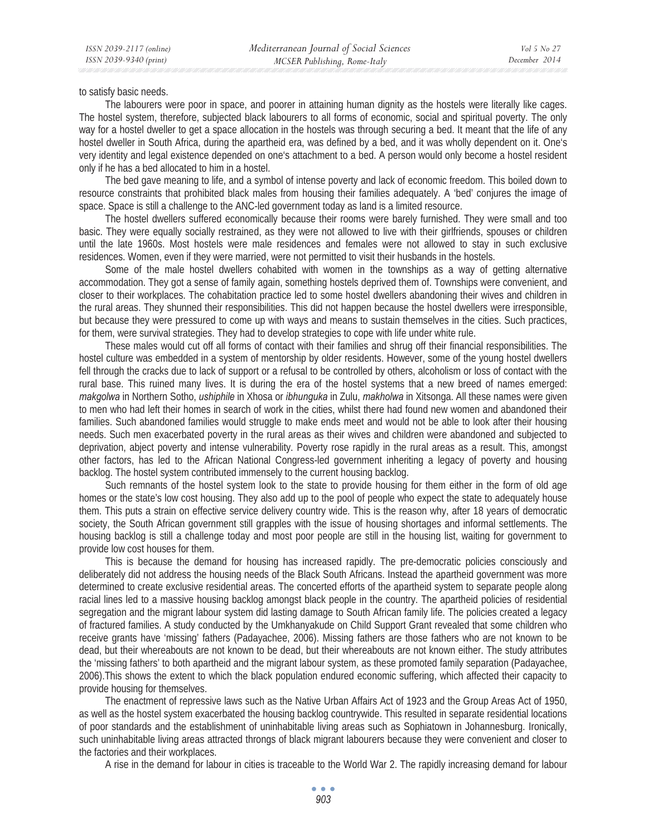to satisfy basic needs.

The labourers were poor in space, and poorer in attaining human dignity as the hostels were literally like cages. The hostel system, therefore, subjected black labourers to all forms of economic, social and spiritual poverty. The only way for a hostel dweller to get a space allocation in the hostels was through securing a bed. It meant that the life of any hostel dweller in South Africa, during the apartheid era, was defined by a bed, and it was wholly dependent on it. One's very identity and legal existence depended on one's attachment to a bed. A person would only become a hostel resident only if he has a bed allocated to him in a hostel.

The bed gave meaning to life, and a symbol of intense poverty and lack of economic freedom. This boiled down to resource constraints that prohibited black males from housing their families adequately. A 'bed' conjures the image of space. Space is still a challenge to the ANC-led government today as land is a limited resource.

The hostel dwellers suffered economically because their rooms were barely furnished. They were small and too basic. They were equally socially restrained, as they were not allowed to live with their girlfriends, spouses or children until the late 1960s. Most hostels were male residences and females were not allowed to stay in such exclusive residences. Women, even if they were married, were not permitted to visit their husbands in the hostels.

Some of the male hostel dwellers cohabited with women in the townships as a way of getting alternative accommodation. They got a sense of family again, something hostels deprived them of. Townships were convenient, and closer to their workplaces. The cohabitation practice led to some hostel dwellers abandoning their wives and children in the rural areas. They shunned their responsibilities. This did not happen because the hostel dwellers were irresponsible, but because they were pressured to come up with ways and means to sustain themselves in the cities. Such practices, for them, were survival strategies. They had to develop strategies to cope with life under white rule.

These males would cut off all forms of contact with their families and shrug off their financial responsibilities. The hostel culture was embedded in a system of mentorship by older residents. However, some of the young hostel dwellers fell through the cracks due to lack of support or a refusal to be controlled by others, alcoholism or loss of contact with the rural base. This ruined many lives. It is during the era of the hostel systems that a new breed of names emerged: *makgolwa* in Northern Sotho, *ushiphile* in Xhosa or *ibhunguka* in Zulu, *makholwa* in Xitsonga. All these names were given to men who had left their homes in search of work in the cities, whilst there had found new women and abandoned their families. Such abandoned families would struggle to make ends meet and would not be able to look after their housing needs. Such men exacerbated poverty in the rural areas as their wives and children were abandoned and subjected to deprivation, abject poverty and intense vulnerability. Poverty rose rapidly in the rural areas as a result. This, amongst other factors, has led to the African National Congress-led government inheriting a legacy of poverty and housing backlog. The hostel system contributed immensely to the current housing backlog.

Such remnants of the hostel system look to the state to provide housing for them either in the form of old age homes or the state's low cost housing. They also add up to the pool of people who expect the state to adequately house them. This puts a strain on effective service delivery country wide. This is the reason why, after 18 years of democratic society, the South African government still grapples with the issue of housing shortages and informal settlements. The housing backlog is still a challenge today and most poor people are still in the housing list, waiting for government to provide low cost houses for them.

This is because the demand for housing has increased rapidly. The pre-democratic policies consciously and deliberately did not address the housing needs of the Black South Africans. Instead the apartheid government was more determined to create exclusive residential areas. The concerted efforts of the apartheid system to separate people along racial lines led to a massive housing backlog amongst black people in the country. The apartheid policies of residential segregation and the migrant labour system did lasting damage to South African family life. The policies created a legacy of fractured families. A study conducted by the Umkhanyakude on Child Support Grant revealed that some children who receive grants have 'missing' fathers (Padayachee, 2006). Missing fathers are those fathers who are not known to be dead, but their whereabouts are not known to be dead, but their whereabouts are not known either. The study attributes the 'missing fathers' to both apartheid and the migrant labour system, as these promoted family separation (Padayachee, 2006).This shows the extent to which the black population endured economic suffering, which affected their capacity to provide housing for themselves.

The enactment of repressive laws such as the Native Urban Affairs Act of 1923 and the Group Areas Act of 1950, as well as the hostel system exacerbated the housing backlog countrywide. This resulted in separate residential locations of poor standards and the establishment of uninhabitable living areas such as Sophiatown in Johannesburg. Ironically, such uninhabitable living areas attracted throngs of black migrant labourers because they were convenient and closer to the factories and their workplaces.

A rise in the demand for labour in cities is traceable to the World War 2. The rapidly increasing demand for labour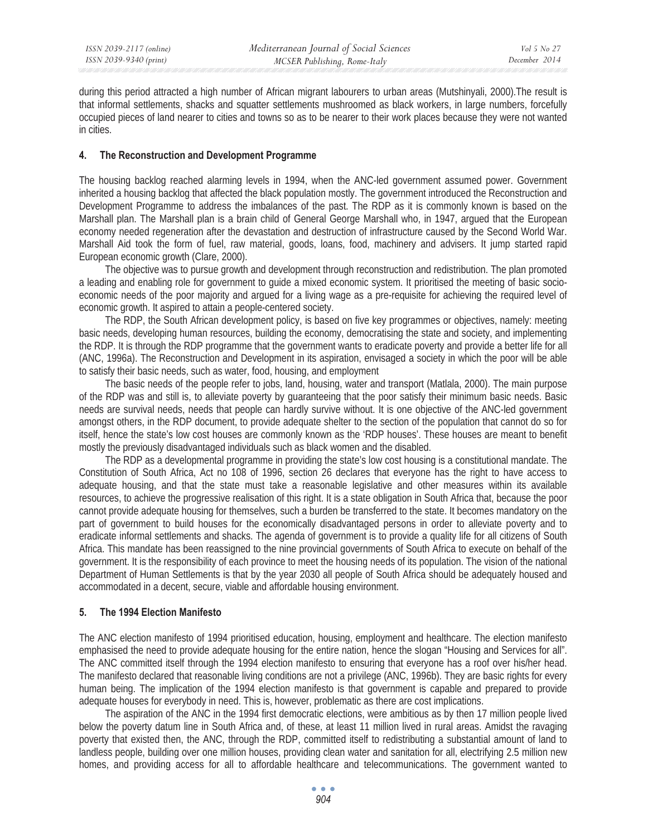during this period attracted a high number of African migrant labourers to urban areas (Mutshinyali, 2000).The result is that informal settlements, shacks and squatter settlements mushroomed as black workers, in large numbers, forcefully occupied pieces of land nearer to cities and towns so as to be nearer to their work places because they were not wanted in cities.

## **4. The Reconstruction and Development Programme**

The housing backlog reached alarming levels in 1994, when the ANC-led government assumed power. Government inherited a housing backlog that affected the black population mostly. The government introduced the Reconstruction and Development Programme to address the imbalances of the past. The RDP as it is commonly known is based on the Marshall plan. The Marshall plan is a brain child of General George Marshall who, in 1947, argued that the European economy needed regeneration after the devastation and destruction of infrastructure caused by the Second World War. Marshall Aid took the form of fuel, raw material, goods, loans, food, machinery and advisers. It jump started rapid European economic growth (Clare, 2000).

The objective was to pursue growth and development through reconstruction and redistribution. The plan promoted a leading and enabling role for government to guide a mixed economic system. It prioritised the meeting of basic socioeconomic needs of the poor majority and argued for a living wage as a pre-requisite for achieving the required level of economic growth. It aspired to attain a people-centered society.

The RDP, the South African development policy, is based on five key programmes or objectives, namely: meeting basic needs, developing human resources, building the economy, democratising the state and society, and implementing the RDP. It is through the RDP programme that the government wants to eradicate poverty and provide a better life for all (ANC, 1996a). The Reconstruction and Development in its aspiration, envisaged a society in which the poor will be able to satisfy their basic needs, such as water, food, housing, and employment

The basic needs of the people refer to jobs, land, housing, water and transport (Matlala, 2000). The main purpose of the RDP was and still is, to alleviate poverty by guaranteeing that the poor satisfy their minimum basic needs. Basic needs are survival needs, needs that people can hardly survive without. It is one objective of the ANC-led government amongst others, in the RDP document, to provide adequate shelter to the section of the population that cannot do so for itself, hence the state's low cost houses are commonly known as the 'RDP houses'. These houses are meant to benefit mostly the previously disadvantaged individuals such as black women and the disabled.

The RDP as a developmental programme in providing the state's low cost housing is a constitutional mandate. The Constitution of South Africa, Act no 108 of 1996, section 26 declares that everyone has the right to have access to adequate housing, and that the state must take a reasonable legislative and other measures within its available resources, to achieve the progressive realisation of this right. It is a state obligation in South Africa that, because the poor cannot provide adequate housing for themselves, such a burden be transferred to the state. It becomes mandatory on the part of government to build houses for the economically disadvantaged persons in order to alleviate poverty and to eradicate informal settlements and shacks. The agenda of government is to provide a quality life for all citizens of South Africa. This mandate has been reassigned to the nine provincial governments of South Africa to execute on behalf of the government. It is the responsibility of each province to meet the housing needs of its population. The vision of the national Department of Human Settlements is that by the year 2030 all people of South Africa should be adequately housed and accommodated in a decent, secure, viable and affordable housing environment.

## **5. The 1994 Election Manifesto**

The ANC election manifesto of 1994 prioritised education, housing, employment and healthcare. The election manifesto emphasised the need to provide adequate housing for the entire nation, hence the slogan "Housing and Services for all". The ANC committed itself through the 1994 election manifesto to ensuring that everyone has a roof over his/her head. The manifesto declared that reasonable living conditions are not a privilege (ANC, 1996b). They are basic rights for every human being. The implication of the 1994 election manifesto is that government is capable and prepared to provide adequate houses for everybody in need. This is, however, problematic as there are cost implications.

The aspiration of the ANC in the 1994 first democratic elections, were ambitious as by then 17 million people lived below the poverty datum line in South Africa and, of these, at least 11 million lived in rural areas. Amidst the ravaging poverty that existed then, the ANC, through the RDP, committed itself to redistributing a substantial amount of land to landless people, building over one million houses, providing clean water and sanitation for all, electrifying 2.5 million new homes, and providing access for all to affordable healthcare and telecommunications. The government wanted to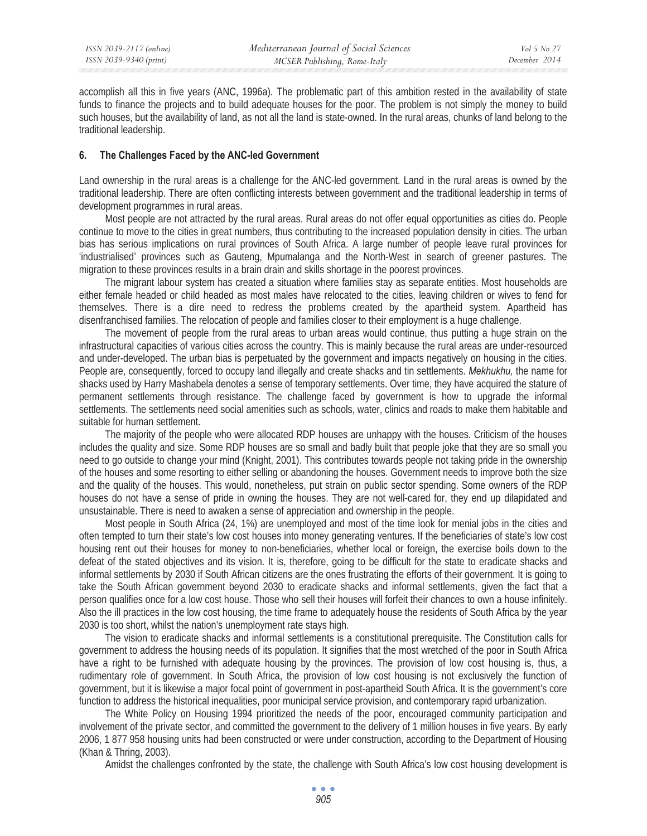accomplish all this in five years (ANC, 1996a). The problematic part of this ambition rested in the availability of state funds to finance the projects and to build adequate houses for the poor. The problem is not simply the money to build such houses, but the availability of land, as not all the land is state-owned. In the rural areas, chunks of land belong to the traditional leadership.

## **6. The Challenges Faced by the ANC-led Government**

Land ownership in the rural areas is a challenge for the ANC-led government. Land in the rural areas is owned by the traditional leadership. There are often conflicting interests between government and the traditional leadership in terms of development programmes in rural areas.

Most people are not attracted by the rural areas. Rural areas do not offer equal opportunities as cities do. People continue to move to the cities in great numbers, thus contributing to the increased population density in cities. The urban bias has serious implications on rural provinces of South Africa. A large number of people leave rural provinces for 'industrialised' provinces such as Gauteng, Mpumalanga and the North-West in search of greener pastures. The migration to these provinces results in a brain drain and skills shortage in the poorest provinces.

The migrant labour system has created a situation where families stay as separate entities. Most households are either female headed or child headed as most males have relocated to the cities, leaving children or wives to fend for themselves. There is a dire need to redress the problems created by the apartheid system. Apartheid has disenfranchised families. The relocation of people and families closer to their employment is a huge challenge.

The movement of people from the rural areas to urban areas would continue, thus putting a huge strain on the infrastructural capacities of various cities across the country. This is mainly because the rural areas are under-resourced and under-developed. The urban bias is perpetuated by the government and impacts negatively on housing in the cities. People are, consequently, forced to occupy land illegally and create shacks and tin settlements. *Mekhukhu,* the name for shacks used by Harry Mashabela denotes a sense of temporary settlements. Over time, they have acquired the stature of permanent settlements through resistance. The challenge faced by government is how to upgrade the informal settlements. The settlements need social amenities such as schools, water, clinics and roads to make them habitable and suitable for human settlement.

The majority of the people who were allocated RDP houses are unhappy with the houses. Criticism of the houses includes the quality and size. Some RDP houses are so small and badly built that people joke that they are so small you need to go outside to change your mind (Knight, 2001). This contributes towards people not taking pride in the ownership of the houses and some resorting to either selling or abandoning the houses. Government needs to improve both the size and the quality of the houses. This would, nonetheless, put strain on public sector spending. Some owners of the RDP houses do not have a sense of pride in owning the houses. They are not well-cared for, they end up dilapidated and unsustainable. There is need to awaken a sense of appreciation and ownership in the people.

Most people in South Africa (24, 1%) are unemployed and most of the time look for menial jobs in the cities and often tempted to turn their state's low cost houses into money generating ventures. If the beneficiaries of state's low cost housing rent out their houses for money to non-beneficiaries, whether local or foreign, the exercise boils down to the defeat of the stated objectives and its vision. It is, therefore, going to be difficult for the state to eradicate shacks and informal settlements by 2030 if South African citizens are the ones frustrating the efforts of their government. It is going to take the South African government beyond 2030 to eradicate shacks and informal settlements, given the fact that a person qualifies once for a low cost house. Those who sell their houses will forfeit their chances to own a house infinitely. Also the ill practices in the low cost housing, the time frame to adequately house the residents of South Africa by the year 2030 is too short, whilst the nation's unemployment rate stays high.

The vision to eradicate shacks and informal settlements is a constitutional prerequisite. The Constitution calls for government to address the housing needs of its population. It signifies that the most wretched of the poor in South Africa have a right to be furnished with adequate housing by the provinces. The provision of low cost housing is, thus, a rudimentary role of government. In South Africa, the provision of low cost housing is not exclusively the function of government, but it is likewise a major focal point of government in post-apartheid South Africa. It is the government's core function to address the historical inequalities, poor municipal service provision, and contemporary rapid urbanization.

The White Policy on Housing 1994 prioritized the needs of the poor, encouraged community participation and involvement of the private sector, and committed the government to the delivery of 1 million houses in five years. By early 2006, 1 877 958 housing units had been constructed or were under construction, according to the Department of Housing (Khan & Thring, 2003).

Amidst the challenges confronted by the state, the challenge with South Africa's low cost housing development is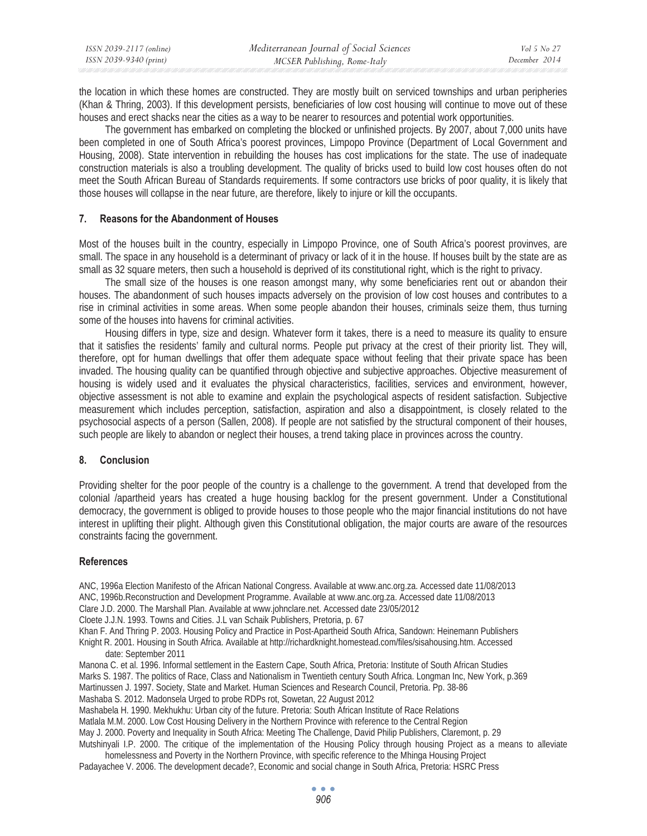| ISSN 2039-2117 (online) | Mediterranean Journal of Social Sciences | <i>Vol</i> 5 No 27 |
|-------------------------|------------------------------------------|--------------------|
| ISSN 2039-9340 (print)  | MCSER Publishing, Rome-Italy             | December 2014      |

the location in which these homes are constructed. They are mostly built on serviced townships and urban peripheries (Khan & Thring, 2003). If this development persists, beneficiaries of low cost housing will continue to move out of these houses and erect shacks near the cities as a way to be nearer to resources and potential work opportunities.

The government has embarked on completing the blocked or unfinished projects. By 2007, about 7,000 units have been completed in one of South Africa's poorest provinces, Limpopo Province (Department of Local Government and Housing, 2008). State intervention in rebuilding the houses has cost implications for the state. The use of inadequate construction materials is also a troubling development. The quality of bricks used to build low cost houses often do not meet the South African Bureau of Standards requirements. If some contractors use bricks of poor quality, it is likely that those houses will collapse in the near future, are therefore, likely to injure or kill the occupants.

## **7. Reasons for the Abandonment of Houses**

Most of the houses built in the country, especially in Limpopo Province, one of South Africa's poorest provinves, are small. The space in any household is a determinant of privacy or lack of it in the house. If houses built by the state are as small as 32 square meters, then such a household is deprived of its constitutional right, which is the right to privacy.

The small size of the houses is one reason amongst many, why some beneficiaries rent out or abandon their houses. The abandonment of such houses impacts adversely on the provision of low cost houses and contributes to a rise in criminal activities in some areas. When some people abandon their houses, criminals seize them, thus turning some of the houses into havens for criminal activities.

Housing differs in type, size and design. Whatever form it takes, there is a need to measure its quality to ensure that it satisfies the residents' family and cultural norms. People put privacy at the crest of their priority list. They will, therefore, opt for human dwellings that offer them adequate space without feeling that their private space has been invaded. The housing quality can be quantified through objective and subjective approaches. Objective measurement of housing is widely used and it evaluates the physical characteristics, facilities, services and environment, however, objective assessment is not able to examine and explain the psychological aspects of resident satisfaction. Subjective measurement which includes perception, satisfaction, aspiration and also a disappointment, is closely related to the psychosocial aspects of a person (Sallen, 2008). If people are not satisfied by the structural component of their houses, such people are likely to abandon or neglect their houses, a trend taking place in provinces across the country.

#### **8. Conclusion**

Providing shelter for the poor people of the country is a challenge to the government. A trend that developed from the colonial /apartheid years has created a huge housing backlog for the present government. Under a Constitutional democracy, the government is obliged to provide houses to those people who the major financial institutions do not have interest in uplifting their plight. Although given this Constitutional obligation, the major courts are aware of the resources constraints facing the government.

#### **References**

ANC, 1996a Election Manifesto of the African National Congress. Available at www.anc.org.za. Accessed date 11/08/2013 ANC, 1996b.Reconstruction and Development Programme. Available at www.anc.org.za. Accessed date 11/08/2013 Clare J.D. 2000. The Marshall Plan. Available at www.johnclare.net. Accessed date 23/05/2012 Cloete J.J.N. 1993. Towns and Cities. J.L van Schaik Publishers, Pretoria, p. 67 Khan F. And Thring P. 2003. Housing Policy and Practice in Post-Apartheid South Africa, Sandown: Heinemann Publishers Knight R. 2001. Housing in South Africa. Available at http://richardknight.homestead.com/files/sisahousing.htm. Accessed date: September 2011 Manona C. et al. 1996. Informal settlement in the Eastern Cape, South Africa, Pretoria: Institute of South African Studies Marks S. 1987. The politics of Race, Class and Nationalism in Twentieth century South Africa. Longman Inc, New York, p.369 Martinussen J. 1997. Society, State and Market. Human Sciences and Research Council, Pretoria. Pp. 38-86

Mashaba S. 2012. Madonsela Urged to probe RDPs rot, Sowetan, 22 August 2012 Mashabela H. 1990. Mekhukhu: Urban city of the future. Pretoria: South African Institute of Race Relations Matlala M.M. 2000. Low Cost Housing Delivery in the Northern Province with reference to the Central Region May J. 2000. Poverty and Inequality in South Africa: Meeting The Challenge, David Philip Publishers, Claremont, p. 29 Mutshinyali I.P. 2000. The critique of the implementation of the Housing Policy through housing Project as a means to alleviate homelessness and Poverty in the Northern Province, with specific reference to the Mhinga Housing Project

Padayachee V. 2006. The development decade?, Economic and social change in South Africa, Pretoria: HSRC Press